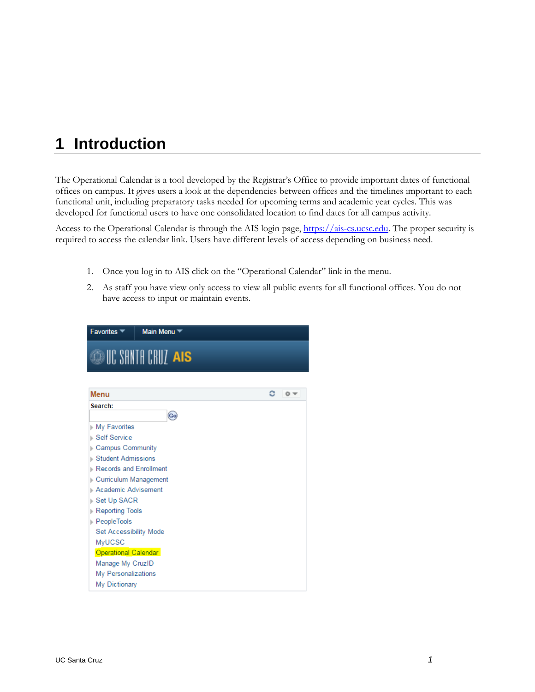# **1 Introduction**

The Operational Calendar is a tool developed by the Registrar's Office to provide important dates of functional offices on campus. It gives users a look at the dependencies between offices and the timelines important to each functional unit, including preparatory tasks needed for upcoming terms and academic year cycles. This was developed for functional users to have one consolidated location to find dates for all campus activity.

Access to the Operational Calendar is through the AIS login page, [https://ais-cs.ucsc.edu.](https://ais-cs.ucsc.edu/) The proper security is required to access the calendar link. Users have different levels of access depending on business need.

- 1. Once you log in to AIS click on the "Operational Calendar" link in the menu.
- 2. As staff you have view only access to view all public events for all functional offices. You do not have access to input or maintain events.

| Favorites <sup>▼</sup>                                                                                                                                                                                                                                                                                                                           | Main Menu <sup>*</sup>    |            |
|--------------------------------------------------------------------------------------------------------------------------------------------------------------------------------------------------------------------------------------------------------------------------------------------------------------------------------------------------|---------------------------|------------|
|                                                                                                                                                                                                                                                                                                                                                  | <b>DUC SANTA CRUZ AIS</b> |            |
| Menu                                                                                                                                                                                                                                                                                                                                             |                           | င<br>$0 -$ |
| Search:                                                                                                                                                                                                                                                                                                                                          | Go                        |            |
| My Favorites<br>⊪ Self Service<br><b>Campus Community</b><br><b>Student Admissions</b><br>Records and Enrollment<br>Curriculum Management<br>Academic Advisement<br>Set Up SACR<br>Reporting Tools<br><b>PeopleTools</b><br>Set Accessibility Mode<br>MyUCSC<br>Operational Calendar<br>Manage My CruzID<br>My Personalizations<br>My Dictionary |                           |            |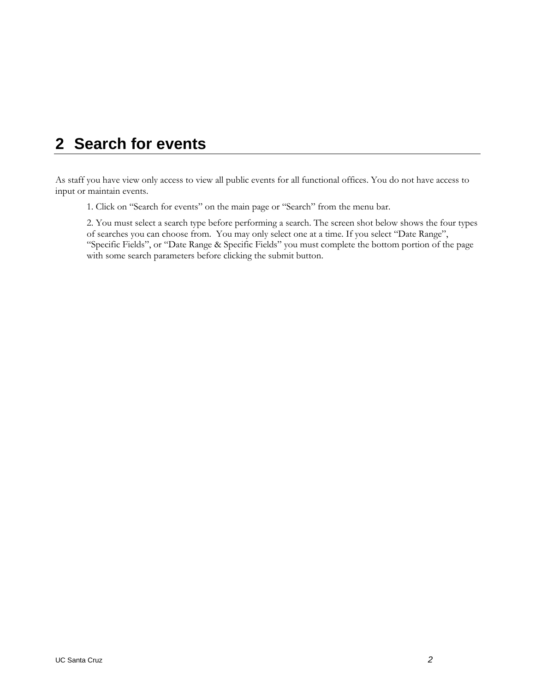# **2 Search for events**

As staff you have view only access to view all public events for all functional offices. You do not have access to input or maintain events.

1. Click on "Search for events" on the main page or "Search" from the menu bar.

2. You must select a search type before performing a search. The screen shot below shows the four types of searches you can choose from. You may only select one at a time. If you select "Date Range", "Specific Fields", or "Date Range & Specific Fields" you must complete the bottom portion of the page with some search parameters before clicking the submit button.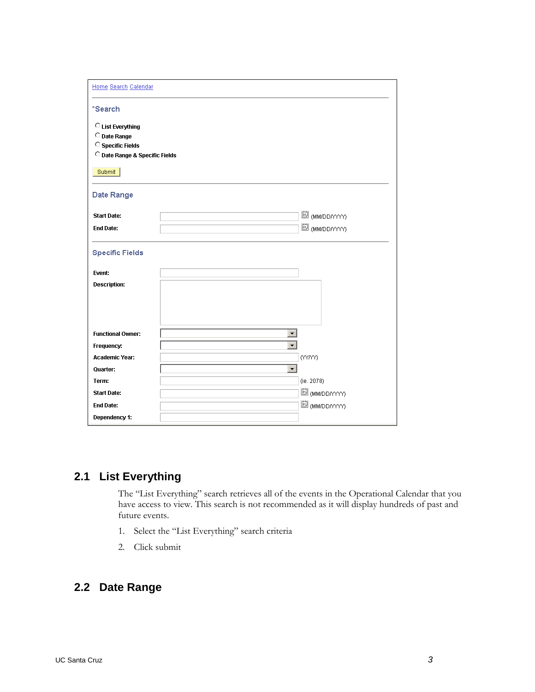| Home Search Calendar           |                      |                          |
|--------------------------------|----------------------|--------------------------|
| *Search                        |                      |                          |
| C List Everything              |                      |                          |
| O Date Range                   |                      |                          |
| <sup>C</sup> Specific Fields   |                      |                          |
| O Date Range & Specific Fields |                      |                          |
| Submit                         |                      |                          |
| Date Range                     |                      |                          |
| <b>Start Date:</b>             |                      | 國 <sub>(MM/DD/YYY)</sub> |
| <b>End Date:</b>               |                      | 國 (MM/DD/YYYY)           |
|                                |                      |                          |
| <b>Specific Fields</b>         |                      |                          |
| Event:                         |                      |                          |
| <b>Description:</b>            |                      |                          |
|                                |                      |                          |
|                                |                      |                          |
|                                |                      |                          |
| <b>Functional Owner:</b>       | $\vert$              |                          |
| Frequency:                     | $\blacktriangledown$ |                          |
| <b>Academic Year:</b>          |                      | (YYMY)                   |
| Quarter:                       | $\blacktriangledown$ |                          |
| Term:                          |                      | (ie. 2078)               |
| <b>Start Date:</b>             |                      | 国 (MM/DD/YYYY)           |
| <b>End Date:</b>               |                      | 国 (MM/DD/YYYY)           |
| Dependency 1:                  |                      |                          |

## **2.1 List Everything**

The "List Everything" search retrieves all of the events in the Operational Calendar that you have access to view. This search is not recommended as it will display hundreds of past and future events.

- 1. Select the "List Everything" search criteria
- 2. Click submit

### **2.2 Date Range**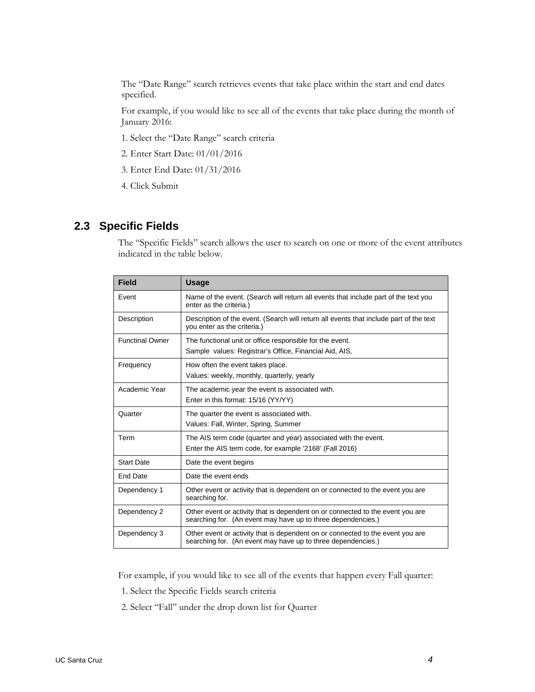The "Date Range" search retrieves events that take place within the start and end dates specified.

For example, if you would like to see all of the events that take place during the month of January 2016:

- 1. Select the "Date Range" search criteria
- 2. Enter Start Date: 01/01/2016
- 3. Enter End Date: 01/31/2016
- 4. Click Submit

### **2.3 Specific Fields**

The "Specific Fields" search allows the user to search on one or more of the event attributes indicated in the table below.

| <b>Field</b>           | <b>Usage</b>                                                                                                                                   |
|------------------------|------------------------------------------------------------------------------------------------------------------------------------------------|
| Event                  | Name of the event. (Search will return all events that include part of the text you<br>enter as the criteria.)                                 |
| Description            | Description of the event. (Search will return all events that include part of the text<br>you enter as the criteria.)                          |
| <b>Functinal Owner</b> | The functional unit or office responsible for the event.<br>Sample values: Registrar's Office, Financial Aid, AIS,                             |
| Frequency              | How often the event takes place.<br>Values: weekly, monthly, quarterly, yearly                                                                 |
| Academic Year          | The academic year the event is associated with.<br>Enter in this format: 15/16 (YY/YY)                                                         |
| Quarter                | The quarter the event is associated with.<br>Values: Fall, Winter, Spring, Summer                                                              |
| Term                   | The AIS term code (quarter and year) associated with the event.<br>Enter the AIS term code, for example '2168' (Fall 2016)                     |
| <b>Start Date</b>      | Date the event begins                                                                                                                          |
| End Date               | Date the event ends                                                                                                                            |
| Dependency 1           | Other event or activity that is dependent on or connected to the event you are<br>searching for.                                               |
| Dependency 2           | Other event or activity that is dependent on or connected to the event you are<br>searching for. (An event may have up to three dependencies.) |
| Dependency 3           | Other event or activity that is dependent on or connected to the event you are<br>searching for. (An event may have up to three dependencies.) |

For example, if you would like to see all of the events that happen every Fall quarter:

- 1. Select the Specific Fields search criteria
- 2. Select "Fall" under the drop down list for Quarter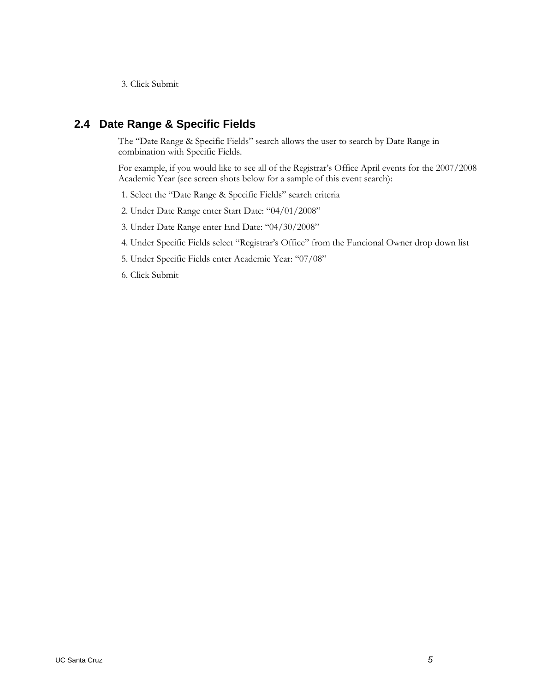3. Click Submit

### **2.4 Date Range & Specific Fields**

The "Date Range & Specific Fields" search allows the user to search by Date Range in combination with Specific Fields.

For example, if you would like to see all of the Registrar's Office April events for the 2007/2008 Academic Year (see screen shots below for a sample of this event search):

- 1. Select the "Date Range & Specific Fields" search criteria
- 2. Under Date Range enter Start Date: "04/01/2008"
- 3. Under Date Range enter End Date: "04/30/2008"
- 4. Under Specific Fields select "Registrar's Office" from the Funcional Owner drop down list
- 5. Under Specific Fields enter Academic Year: "07/08"
- 6. Click Submit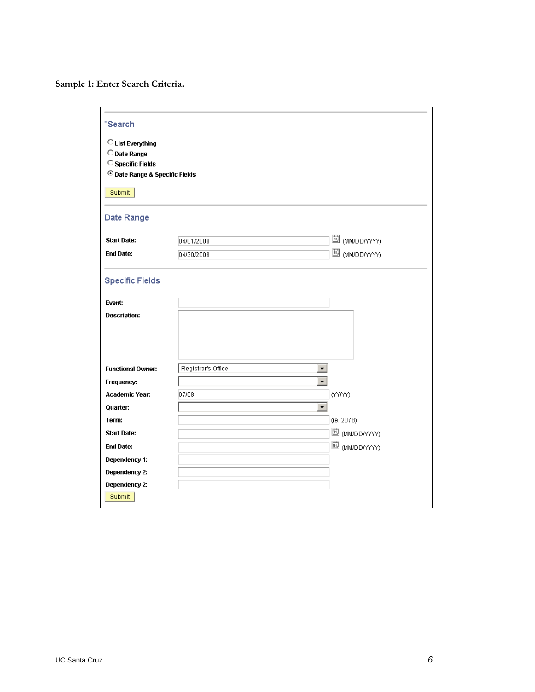**Sample 1: Enter Search Criteria.**

| *Search                                   |                                                |                             |
|-------------------------------------------|------------------------------------------------|-----------------------------|
| C List Everything                         |                                                |                             |
| O Date Range                              |                                                |                             |
| <sup>C</sup> Specific Fields              |                                                |                             |
| <sup>©</sup> Date Range & Specific Fields |                                                |                             |
|                                           |                                                |                             |
| Submit                                    |                                                |                             |
|                                           |                                                |                             |
| Date Range                                |                                                |                             |
|                                           |                                                |                             |
| <b>Start Date:</b>                        | 04/01/2008                                     | <i>i</i> (MM/DD/YYYY)       |
| <b>End Date:</b>                          | 04/30/2008                                     | 國 <sub>(MM/DD/YYY)</sub>    |
|                                           |                                                |                             |
| <b>Specific Fields</b>                    |                                                |                             |
| Event:                                    |                                                |                             |
| <b>Description:</b>                       |                                                |                             |
|                                           |                                                |                             |
|                                           |                                                |                             |
|                                           |                                                |                             |
|                                           |                                                |                             |
| <b>Functional Owner:</b>                  | Registrar's Office<br>$\vert \mathbf{v} \vert$ |                             |
| Frequency:                                | $\overline{\phantom{0}}$                       |                             |
| Academic Year:                            | 07/08                                          | (YYYYY)                     |
|                                           | $\vert \cdot \vert$                            |                             |
| Quarter:                                  |                                                |                             |
| Term:                                     |                                                | (ie. 2078)                  |
| <b>Start Date:</b>                        |                                                | <sup>iii</sup> (MM/DD/YYYY) |
| <b>End Date:</b>                          |                                                | 国 (MM/DD/YYYY)              |
| Dependency 1:                             |                                                |                             |
| Dependency 2:                             |                                                |                             |
| Dependency 2:                             |                                                |                             |
| Submit                                    |                                                |                             |
|                                           |                                                |                             |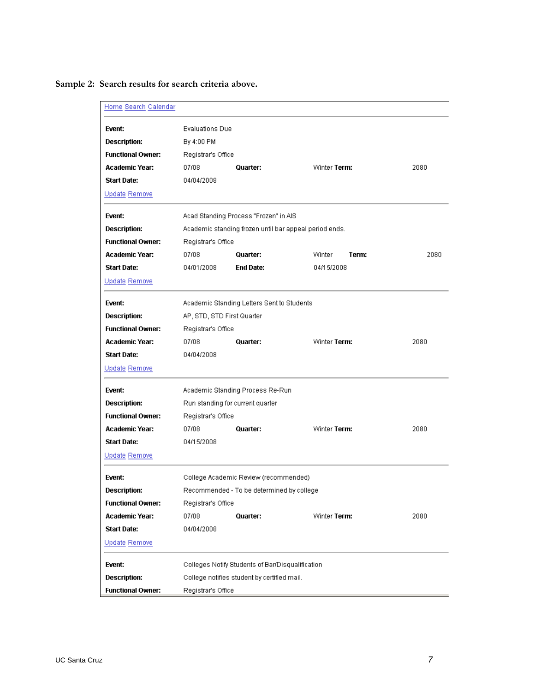**Sample 2: Search results for search criteria above.**

| Home Search Calendar     |                            |                                                        |                 |      |  |  |  |
|--------------------------|----------------------------|--------------------------------------------------------|-----------------|------|--|--|--|
| Event:                   | <b>Evaluations Due</b>     |                                                        |                 |      |  |  |  |
| <b>Description:</b>      | By 4:00 PM                 |                                                        |                 |      |  |  |  |
| <b>Functional Owner:</b> | Registrar's Office         |                                                        |                 |      |  |  |  |
| <b>Academic Year:</b>    | 07/08                      | Quarter:                                               | Winter Term:    | 2080 |  |  |  |
| <b>Start Date:</b>       | 04/04/2008                 |                                                        |                 |      |  |  |  |
| Update Remove            |                            |                                                        |                 |      |  |  |  |
| Event:                   |                            | Acad Standing Process "Frozen" in AIS                  |                 |      |  |  |  |
| <b>Description:</b>      |                            | Academic standing frozen until bar appeal period ends. |                 |      |  |  |  |
| <b>Functional Owner:</b> | Registrar's Office         |                                                        |                 |      |  |  |  |
| Academic Year:           | 07/08                      | Quarter:                                               | Winter<br>Term: | 2080 |  |  |  |
| <b>Start Date:</b>       | 04/01/2008                 | <b>End Date:</b>                                       | 04/15/2008      |      |  |  |  |
| Update Remove            |                            |                                                        |                 |      |  |  |  |
| Event:                   |                            | Academic Standing Letters Sent to Students             |                 |      |  |  |  |
| <b>Description:</b>      | AP, STD, STD First Quarter |                                                        |                 |      |  |  |  |
| <b>Functional Owner:</b> |                            | Registrar's Office                                     |                 |      |  |  |  |
| Academic Year:           | 07/08                      | Quarter:                                               | Winter Term:    | 2080 |  |  |  |
| <b>Start Date:</b>       | 04/04/2008                 |                                                        |                 |      |  |  |  |
| Update Remove            |                            |                                                        |                 |      |  |  |  |
| Event:                   |                            | Academic Standing Process Re-Run                       |                 |      |  |  |  |
| <b>Description:</b>      |                            | Run standing for current quarter                       |                 |      |  |  |  |
| <b>Functional Owner:</b> | Registrar's Office         |                                                        |                 |      |  |  |  |
| <b>Academic Year:</b>    | 07/08                      | Quarter:                                               | Winter Term:    | 2080 |  |  |  |
| <b>Start Date:</b>       | 04/15/2008                 |                                                        |                 |      |  |  |  |
| Update Remove            |                            |                                                        |                 |      |  |  |  |
| Event:                   |                            | College Academic Review (recommended)                  |                 |      |  |  |  |
| Description:             |                            | Recommended - To be determined by college.             |                 |      |  |  |  |
| <b>Functional Owner:</b> | Registrar's Office         |                                                        |                 |      |  |  |  |
| <b>Academic Year:</b>    | 07/08                      | Quarter:                                               | Winter Term:    | 2080 |  |  |  |
| <b>Start Date:</b>       | 04/04/2008                 |                                                        |                 |      |  |  |  |
| Update Remove            |                            |                                                        |                 |      |  |  |  |
| Event:                   |                            | Colleges Notify Students of Bar/Disqualification       |                 |      |  |  |  |
| <b>Description:</b>      |                            | College notifies student by certified mail.            |                 |      |  |  |  |
| <b>Functional Owner:</b> | Registrar's Office         |                                                        |                 |      |  |  |  |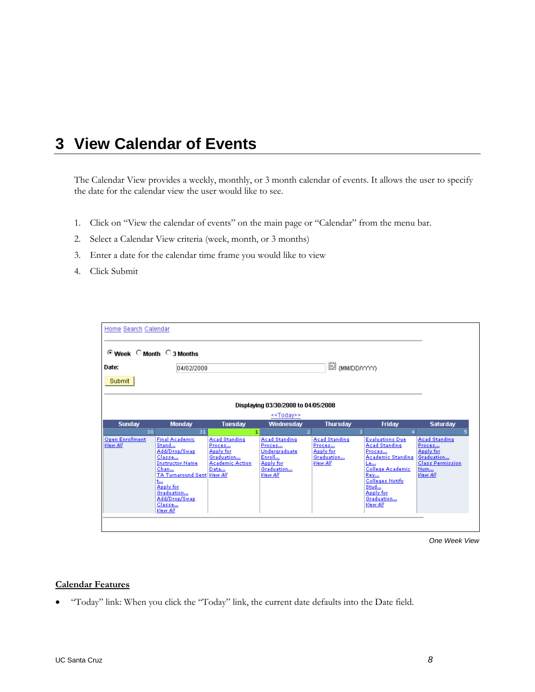## **3 View Calendar of Events**

The Calendar View provides a weekly, monthly, or 3 month calendar of events. It allows the user to specify the date for the calendar view the user would like to see.

- 1. Click on "View the calendar of events" on the main page or "Calendar" from the menu bar.
- 2. Select a Calendar View criteria (week, month, or 3 months)
- 3. Enter a date for the calendar time frame you would like to view
- 4. Click Submit

| Home Search Calendar<br>⊙ Week C Month C 3 Months            |                                                                                                                                                                                                                |                                                                                             |                                                                                                  |                                                                       |                                                                                                                                                                                                |                                                                                                                |  |  |  |
|--------------------------------------------------------------|----------------------------------------------------------------------------------------------------------------------------------------------------------------------------------------------------------------|---------------------------------------------------------------------------------------------|--------------------------------------------------------------------------------------------------|-----------------------------------------------------------------------|------------------------------------------------------------------------------------------------------------------------------------------------------------------------------------------------|----------------------------------------------------------------------------------------------------------------|--|--|--|
| Date:                                                        | 04/02/2008                                                                                                                                                                                                     |                                                                                             |                                                                                                  | <sup>iii</sup> (MM/DD/YYYY)                                           |                                                                                                                                                                                                |                                                                                                                |  |  |  |
| Submit                                                       |                                                                                                                                                                                                                |                                                                                             |                                                                                                  |                                                                       |                                                                                                                                                                                                |                                                                                                                |  |  |  |
| Displaying 03/30/2008 to 04/05/2008<br>< <today>&gt;</today> |                                                                                                                                                                                                                |                                                                                             |                                                                                                  |                                                                       |                                                                                                                                                                                                |                                                                                                                |  |  |  |
| <b>Sunday</b>                                                | <b>Monday</b>                                                                                                                                                                                                  | Tuesday                                                                                     | Wednesday                                                                                        | <b>Thursday</b>                                                       | Friday                                                                                                                                                                                         | <b>Saturday</b>                                                                                                |  |  |  |
| 30                                                           | 31                                                                                                                                                                                                             | 11                                                                                          |                                                                                                  |                                                                       | 3.                                                                                                                                                                                             |                                                                                                                |  |  |  |
| <b>Open Enrollment</b><br>View All                           | <b>Final Academic</b><br>Stand<br>Add/Drop/Swap<br>Classe<br><b>Instructor Name</b><br>Chan<br>TA Turnaround Sent View All<br>$t_{\rm{max}}$<br>Apply for<br>Graduation<br>Add/Drop/Swap<br>Classe<br>View All | <b>Acad Standing</b><br>Proces<br>Apply for<br>Graduation<br><b>Academic Action</b><br>Data | <b>Acad Standing</b><br>Proces<br>Undergraduate<br>Enroll<br>Apply for<br>Graduation<br>View All | <b>Acad Standing</b><br>Proces<br>Apply for<br>Graduation<br>View All | <b>Evaluations Due</b><br><b>Acad Standing</b><br>Proces<br><b>Academic Standing</b><br>Le<br>College Academic<br>Rev<br><b>Colleges Notify</b><br>Stud<br>Apply for<br>Graduation<br>View All | <b>Acad Standing</b><br>Proces<br><b>Apply for</b><br>Graduation<br><b>Class Permission</b><br>Num<br>View All |  |  |  |
|                                                              |                                                                                                                                                                                                                |                                                                                             |                                                                                                  |                                                                       |                                                                                                                                                                                                |                                                                                                                |  |  |  |

*One Week View*

#### **Calendar Features**

• "Today" link: When you click the "Today" link, the current date defaults into the Date field.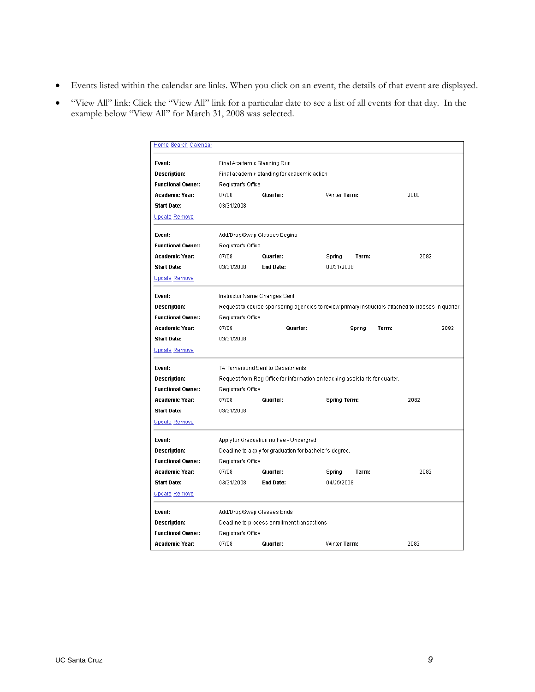- Events listed within the calendar are links. When you click on an event, the details of that event are displayed.
- "View All" link: Click the "View All" link for a particular date to see a list of all events for that day. In the example below "View All" for March 31, 2008 was selected.

| <u>Home Search Calendar</u> |                             |                                                                             |                 |                                                                                                     |
|-----------------------------|-----------------------------|-----------------------------------------------------------------------------|-----------------|-----------------------------------------------------------------------------------------------------|
| Event:                      | Final Academic Standing Run |                                                                             |                 |                                                                                                     |
| <b>Description:</b>         |                             | Final academic standing for academic action                                 |                 |                                                                                                     |
| <b>Functional Owner:</b>    | Registrar's Office          |                                                                             |                 |                                                                                                     |
| <b>Academic Year:</b>       | 07/08                       | Quarter:                                                                    | Winter Term:    | 2080                                                                                                |
| <b>Start Date:</b>          | 03/31/2008                  |                                                                             |                 |                                                                                                     |
| Update Remove               |                             |                                                                             |                 |                                                                                                     |
| Event:                      |                             | Add/Drop/Swap Classes Begins                                                |                 |                                                                                                     |
| <b>Functional Owner:</b>    | Registrar's Office          |                                                                             |                 |                                                                                                     |
| Academic Year:              | 07/08                       | Quarter:                                                                    | Spring<br>Term: | 2082                                                                                                |
| <b>Start Date:</b>          | 03/31/2008                  | <b>End Date:</b>                                                            | 03/31/2008      |                                                                                                     |
| Update Remove               |                             |                                                                             |                 |                                                                                                     |
|                             |                             |                                                                             |                 |                                                                                                     |
| Event:                      |                             | Instructor Name Changes Sent                                                |                 |                                                                                                     |
| <b>Description:</b>         |                             |                                                                             |                 | Request to course sponsoring agencies to review primary instructors attached to classes in quarter. |
| <b>Functional Owner:</b>    | Registrar's Office          |                                                                             |                 |                                                                                                     |
| <b>Academic Year:</b>       | 07/08                       | Quarter:                                                                    | Spring          | Term:<br>2082                                                                                       |
| <b>Start Date:</b>          | 03/31/2008                  |                                                                             |                 |                                                                                                     |
| Update Remove               |                             |                                                                             |                 |                                                                                                     |
| Event:                      |                             | TA Turnaround Sent to Departments                                           |                 |                                                                                                     |
| <b>Description:</b>         |                             | Request from Reg Office for information on teaching assistants for quarter. |                 |                                                                                                     |
| <b>Functional Owner:</b>    | Registrar's Office          |                                                                             |                 |                                                                                                     |
| <b>Academic Year:</b>       | 07/08                       | Quarter:                                                                    | Spring Term:    | 2082                                                                                                |
| Start Date:                 | 03/31/2008                  |                                                                             |                 |                                                                                                     |
| Update Remove               |                             |                                                                             |                 |                                                                                                     |
| Event:                      |                             | Apply for Graduation no Fee - Undergrad                                     |                 |                                                                                                     |
| <b>Description:</b>         |                             | Deadline to apply for graduation for bachelor's degree.                     |                 |                                                                                                     |
| <b>Functional Owner:</b>    | Registrar's Office          |                                                                             |                 |                                                                                                     |
| <b>Academic Year:</b>       | 07/08                       | Quarter:                                                                    | Spring<br>Term: | 2082                                                                                                |
| <b>Start Date:</b>          | 03/31/2008                  | <b>End Date:</b>                                                            | 04/25/2008      |                                                                                                     |
| Update Remove               |                             |                                                                             |                 |                                                                                                     |
| Event:                      | Add/Drop/Swap Classes Ends  |                                                                             |                 |                                                                                                     |
| <b>Description:</b>         |                             | Deadline to process enrollment transactions                                 |                 |                                                                                                     |
| <b>Functional Owner:</b>    | Registrar's Office          |                                                                             |                 |                                                                                                     |
| <b>Academic Year:</b>       | 07/08                       | Quarter:                                                                    | Winter Term:    | 2082                                                                                                |